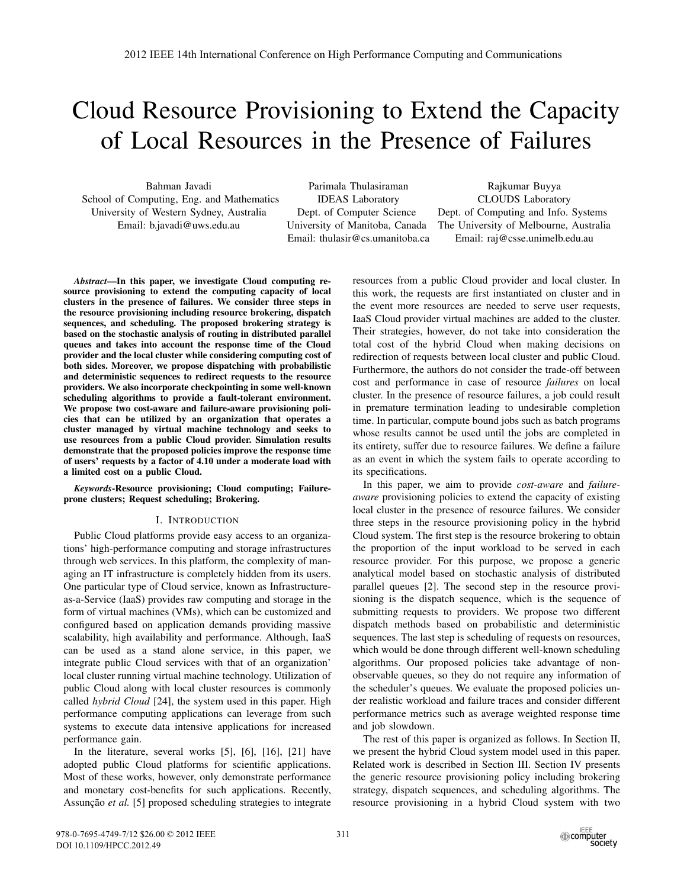# Cloud Resource Provisioning to Extend the Capacity of Local Resources in the Presence of Failures

Bahman Javadi School of Computing, Eng. and Mathematics University of Western Sydney, Australia Email: b.javadi@uws.edu.au

Parimala Thulasiraman IDEAS Laboratory Dept. of Computer Science University of Manitoba, Canada Email: thulasir@cs.umanitoba.ca

Rajkumar Buyya CLOUDS Laboratory Dept. of Computing and Info. Systems The University of Melbourne, Australia Email: raj@csse.unimelb.edu.au

*Abstract*—In this paper, we investigate Cloud computing resource provisioning to extend the computing capacity of local clusters in the presence of failures. We consider three steps in the resource provisioning including resource brokering, dispatch sequences, and scheduling. The proposed brokering strategy is based on the stochastic analysis of routing in distributed parallel queues and takes into account the response time of the Cloud provider and the local cluster while considering computing cost of both sides. Moreover, we propose dispatching with probabilistic and deterministic sequences to redirect requests to the resource providers. We also incorporate checkpointing in some well-known scheduling algorithms to provide a fault-tolerant environment. We propose two cost-aware and failure-aware provisioning policies that can be utilized by an organization that operates a cluster managed by virtual machine technology and seeks to use resources from a public Cloud provider. Simulation results demonstrate that the proposed policies improve the response time of users' requests by a factor of 4.10 under a moderate load with a limited cost on a public Cloud.

*Keywords*-Resource provisioning; Cloud computing; Failureprone clusters; Request scheduling; Brokering.

#### I. INTRODUCTION

Public Cloud platforms provide easy access to an organizations' high-performance computing and storage infrastructures through web services. In this platform, the complexity of managing an IT infrastructure is completely hidden from its users. One particular type of Cloud service, known as Infrastructureas-a-Service (IaaS) provides raw computing and storage in the form of virtual machines (VMs), which can be customized and configured based on application demands providing massive scalability, high availability and performance. Although, IaaS can be used as a stand alone service, in this paper, we integrate public Cloud services with that of an organization' local cluster running virtual machine technology. Utilization of public Cloud along with local cluster resources is commonly called *hybrid Cloud* [24], the system used in this paper. High performance computing applications can leverage from such systems to execute data intensive applications for increased performance gain.

In the literature, several works [5], [6], [16], [21] have adopted public Cloud platforms for scientific applications. Most of these works, however, only demonstrate performance and monetary cost-benefits for such applications. Recently, Assunção et al. [5] proposed scheduling strategies to integrate resources from a public Cloud provider and local cluster. In this work, the requests are first instantiated on cluster and in the event more resources are needed to serve user requests, IaaS Cloud provider virtual machines are added to the cluster. Their strategies, however, do not take into consideration the total cost of the hybrid Cloud when making decisions on redirection of requests between local cluster and public Cloud. Furthermore, the authors do not consider the trade-off between cost and performance in case of resource *failures* on local cluster. In the presence of resource failures, a job could result in premature termination leading to undesirable completion time. In particular, compute bound jobs such as batch programs whose results cannot be used until the jobs are completed in its entirety, suffer due to resource failures. We define a failure as an event in which the system fails to operate according to its specifications.

In this paper, we aim to provide *cost-aware* and *failureaware* provisioning policies to extend the capacity of existing local cluster in the presence of resource failures. We consider three steps in the resource provisioning policy in the hybrid Cloud system. The first step is the resource brokering to obtain the proportion of the input workload to be served in each resource provider. For this purpose, we propose a generic analytical model based on stochastic analysis of distributed parallel queues [2]. The second step in the resource provisioning is the dispatch sequence, which is the sequence of submitting requests to providers. We propose two different dispatch methods based on probabilistic and deterministic sequences. The last step is scheduling of requests on resources, which would be done through different well-known scheduling algorithms. Our proposed policies take advantage of nonobservable queues, so they do not require any information of the scheduler's queues. We evaluate the proposed policies under realistic workload and failure traces and consider different performance metrics such as average weighted response time and job slowdown.

The rest of this paper is organized as follows. In Section II, we present the hybrid Cloud system model used in this paper. Related work is described in Section III. Section IV presents the generic resource provisioning policy including brokering strategy, dispatch sequences, and scheduling algorithms. The resource provisioning in a hybrid Cloud system with two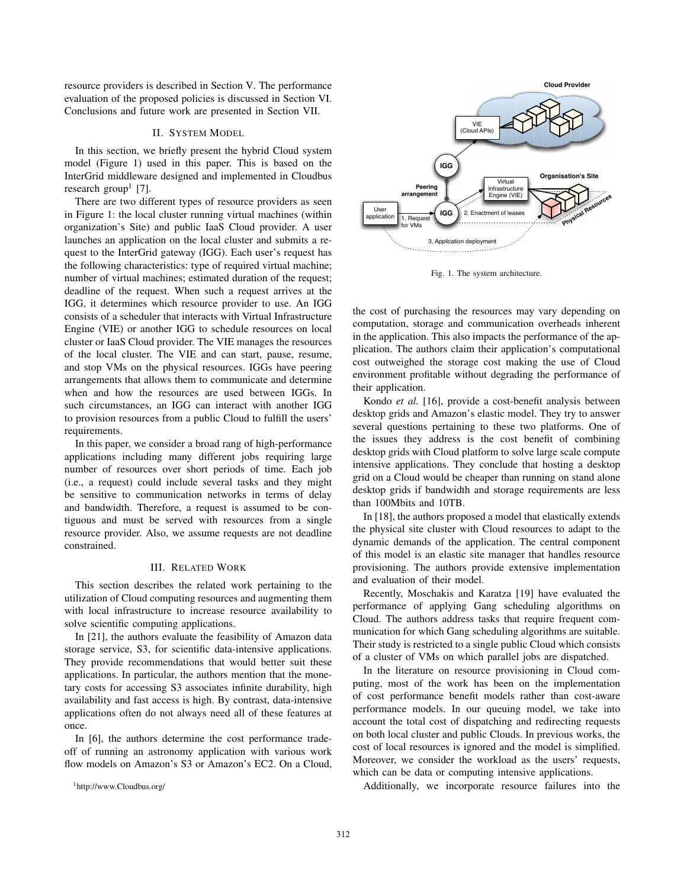resource providers is described in Section V. The performance evaluation of the proposed policies is discussed in Section VI. Conclusions and future work are presented in Section VII.

# II. SYSTEM MODEL

In this section, we briefly present the hybrid Cloud system model (Figure 1) used in this paper. This is based on the InterGrid middleware designed and implemented in Cloudbus research group<sup>1</sup> [7].

There are two different types of resource providers as seen in Figure 1: the local cluster running virtual machines (within organization's Site) and public IaaS Cloud provider. A user launches an application on the local cluster and submits a request to the InterGrid gateway (IGG). Each user's request has the following characteristics: type of required virtual machine; number of virtual machines; estimated duration of the request; deadline of the request. When such a request arrives at the IGG, it determines which resource provider to use. An IGG consists of a scheduler that interacts with Virtual Infrastructure Engine (VIE) or another IGG to schedule resources on local cluster or IaaS Cloud provider. The VIE manages the resources of the local cluster. The VIE and can start, pause, resume, and stop VMs on the physical resources. IGGs have peering arrangements that allows them to communicate and determine when and how the resources are used between IGGs. In such circumstances, an IGG can interact with another IGG to provision resources from a public Cloud to fulfill the users' requirements.

In this paper, we consider a broad rang of high-performance applications including many different jobs requiring large number of resources over short periods of time. Each job (i.e., a request) could include several tasks and they might be sensitive to communication networks in terms of delay and bandwidth. Therefore, a request is assumed to be contiguous and must be served with resources from a single resource provider. Also, we assume requests are not deadline constrained.

# III. RELATED WORK

This section describes the related work pertaining to the utilization of Cloud computing resources and augmenting them with local infrastructure to increase resource availability to solve scientific computing applications.

In [21], the authors evaluate the feasibility of Amazon data storage service, S3, for scientific data-intensive applications. They provide recommendations that would better suit these applications. In particular, the authors mention that the monetary costs for accessing S3 associates infinite durability, high availability and fast access is high. By contrast, data-intensive applications often do not always need all of these features at once.

In [6], the authors determine the cost performance tradeoff of running an astronomy application with various work flow models on Amazon's S3 or Amazon's EC2. On a Cloud,



Fig. 1. The system architecture.

the cost of purchasing the resources may vary depending on computation, storage and communication overheads inherent in the application. This also impacts the performance of the application. The authors claim their application's computational cost outweighed the storage cost making the use of Cloud environment profitable without degrading the performance of their application.

Kondo *et al.* [16], provide a cost-benefit analysis between desktop grids and Amazon's elastic model. They try to answer several questions pertaining to these two platforms. One of the issues they address is the cost benefit of combining desktop grids with Cloud platform to solve large scale compute intensive applications. They conclude that hosting a desktop grid on a Cloud would be cheaper than running on stand alone desktop grids if bandwidth and storage requirements are less than 100Mbits and 10TB.

In [18], the authors proposed a model that elastically extends the physical site cluster with Cloud resources to adapt to the dynamic demands of the application. The central component of this model is an elastic site manager that handles resource provisioning. The authors provide extensive implementation and evaluation of their model.

Recently, Moschakis and Karatza [19] have evaluated the performance of applying Gang scheduling algorithms on Cloud. The authors address tasks that require frequent communication for which Gang scheduling algorithms are suitable. Their study is restricted to a single public Cloud which consists of a cluster of VMs on which parallel jobs are dispatched.

In the literature on resource provisioning in Cloud computing, most of the work has been on the implementation of cost performance benefit models rather than cost-aware performance models. In our queuing model, we take into account the total cost of dispatching and redirecting requests on both local cluster and public Clouds. In previous works, the cost of local resources is ignored and the model is simplified. Moreover, we consider the workload as the users' requests, which can be data or computing intensive applications.

Additionally, we incorporate resource failures into the

<sup>1</sup>http://www.Cloudbus.org/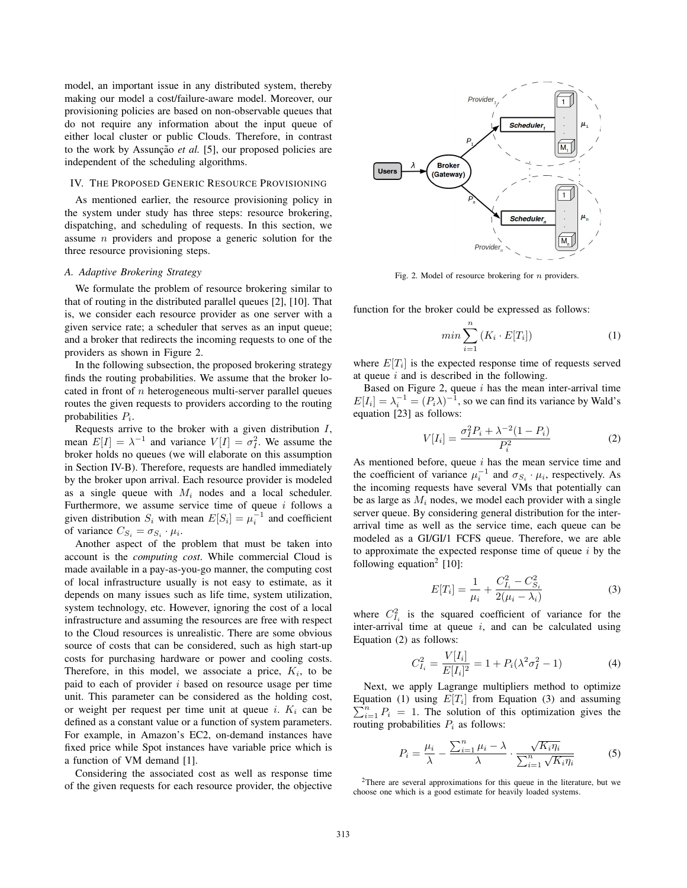model, an important issue in any distributed system, thereby making our model a cost/failure-aware model. Moreover, our provisioning policies are based on non-observable queues that do not require any information about the input queue of either local cluster or public Clouds. Therefore, in contrast to the work by Assunção *et al.* [5], our proposed policies are independent of the scheduling algorithms.

# IV. THE PROPOSED GENERIC RESOURCE PROVISIONING

As mentioned earlier, the resource provisioning policy in the system under study has three steps: resource brokering, dispatching, and scheduling of requests. In this section, we assume  $n$  providers and propose a generic solution for the three resource provisioning steps.

# *A. Adaptive Brokering Strategy*

We formulate the problem of resource brokering similar to that of routing in the distributed parallel queues [2], [10]. That is, we consider each resource provider as one server with a given service rate; a scheduler that serves as an input queue; and a broker that redirects the incoming requests to one of the providers as shown in Figure 2.

In the following subsection, the proposed brokering strategy finds the routing probabilities. We assume that the broker located in front of  $n$  heterogeneous multi-server parallel queues routes the given requests to providers according to the routing probabilities  $P_i$ .

Requests arrive to the broker with a given distribution  $I$ , mean  $E[I] = \lambda^{-1}$  and variance  $V[I] = \sigma_I^2$ . We assume the broker holds no queues (we will elaborate on this assumption in Section IV-B). Therefore, requests are handled immediately by the broker upon arrival. Each resource provider is modeled as a single queue with  $M_i$  nodes and a local scheduler. Furthermore, we assume service time of queue  $i$  follows a given distribution  $S_i$  with mean  $E[S_i] = \mu_i^{-1}$  and coefficient of variance  $C_{S_i} = \sigma_{S_i} \cdot \mu_i$ .

Another aspect of the problem that must be taken into account is the *computing cost*. While commercial Cloud is made available in a pay-as-you-go manner, the computing cost of local infrastructure usually is not easy to estimate, as it depends on many issues such as life time, system utilization, system technology, etc. However, ignoring the cost of a local infrastructure and assuming the resources are free with respect to the Cloud resources is unrealistic. There are some obvious source of costs that can be considered, such as high start-up costs for purchasing hardware or power and cooling costs. Therefore, in this model, we associate a price,  $K_i$ , to be paid to each of provider  $i$  based on resource usage per time unit. This parameter can be considered as the holding cost, or weight per request per time unit at queue i.  $K_i$  can be defined as a constant value or a function of system parameters. For example, in Amazon's EC2, on-demand instances have fixed price while Spot instances have variable price which is a function of VM demand [1].

Considering the associated cost as well as response time of the given requests for each resource provider, the objective



Fig. 2. Model of resource brokering for  $n$  providers.

function for the broker could be expressed as follows:

$$
min \sum_{i=1}^{n} (K_i \cdot E[T_i])
$$
\n(1)

where  $E[T_i]$  is the expected response time of requests served at queue  $i$  and is described in the following.

Based on Figure 2, queue  $i$  has the mean inter-arrival time  $E[I_i] = \lambda_i^{-1} = (P_i \lambda)^{-1}$ , so we can find its variance by Wald's equation [23] as follows:

$$
V[I_i] = \frac{\sigma_I^2 P_i + \lambda^{-2} (1 - P_i)}{P_i^2}
$$
 (2)

As mentioned before, queue  $i$  has the mean service time and the coefficient of variance  $\mu_i^{-1}$  and  $\sigma_{S_i} \cdot \mu_i$ , respectively. As the incoming requests have several VMs that potentially can be as large as  $M_i$  nodes, we model each provider with a single server queue. By considering general distribution for the interarrival time as well as the service time, each queue can be modeled as a GI/GI/1 FCFS queue. Therefore, we are able to approximate the expected response time of queue  $i$  by the following equation<sup>2</sup> [10]:

$$
E[T_i] = \frac{1}{\mu_i} + \frac{C_{I_i}^2 - C_{S_i}^2}{2(\mu_i - \lambda_i)}
$$
(3)

where  $C_{I_i}^2$  is the squared coefficient of variance for the inter-arrival time at queue  $i$ , and can be calculated using Equation (2) as follows:

$$
C_{I_i}^2 = \frac{V[I_i]}{E[I_i]^2} = 1 + P_i(\lambda^2 \sigma_I^2 - 1)
$$
 (4)

Next, we apply Lagrange multipliers method to optimize Equation (1) using  $E[T_i]$  from Equation (3) and assuming  $\sum_{i=1}^{n} E_{i} = 1$ . The solution of this optimization gives the  $\sum_{i=1}^{n} P_i = 1$ . The solution of this optimization gives the routing probabilities  $P_i$  as follows:

$$
P_i = \frac{\mu_i}{\lambda} - \frac{\sum_{i=1}^n \mu_i - \lambda}{\lambda} \cdot \frac{\sqrt{K_i \eta_i}}{\sum_{i=1}^n \sqrt{K_i \eta_i}}
$$
(5)

<sup>&</sup>lt;sup>2</sup>There are several approximations for this queue in the literature, but we choose one which is a good estimate for heavily loaded systems.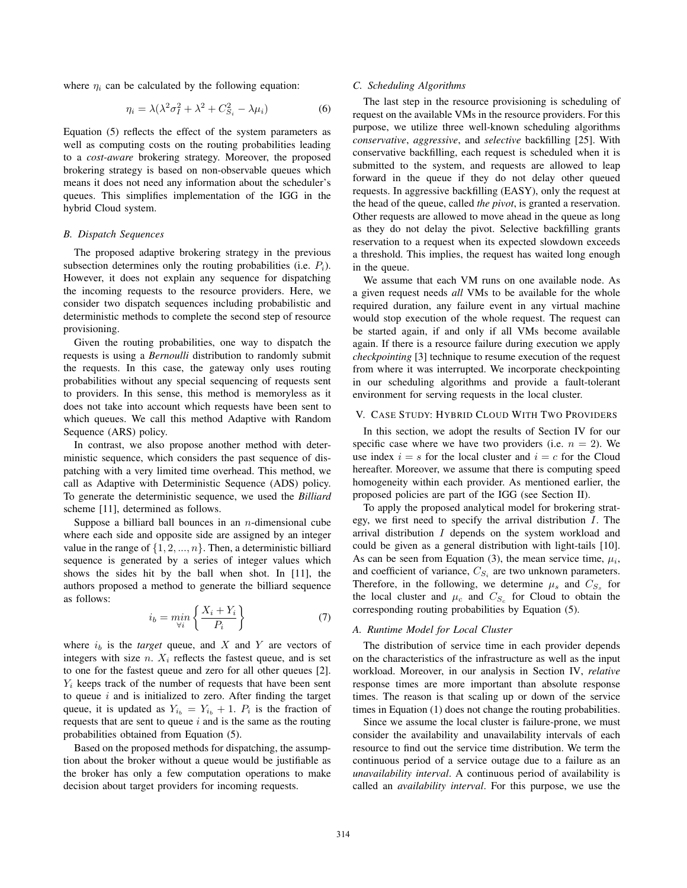where  $\eta_i$  can be calculated by the following equation:

$$
\eta_i = \lambda(\lambda^2 \sigma_I^2 + \lambda^2 + C_{S_i}^2 - \lambda \mu_i) \tag{6}
$$

Equation (5) reflects the effect of the system parameters as well as computing costs on the routing probabilities leading to a *cost-aware* brokering strategy. Moreover, the proposed brokering strategy is based on non-observable queues which means it does not need any information about the scheduler's queues. This simplifies implementation of the IGG in the hybrid Cloud system.

# *B. Dispatch Sequences*

The proposed adaptive brokering strategy in the previous subsection determines only the routing probabilities (i.e.  $P_i$ ). However, it does not explain any sequence for dispatching the incoming requests to the resource providers. Here, we consider two dispatch sequences including probabilistic and deterministic methods to complete the second step of resource provisioning.

Given the routing probabilities, one way to dispatch the requests is using a *Bernoulli* distribution to randomly submit the requests. In this case, the gateway only uses routing probabilities without any special sequencing of requests sent to providers. In this sense, this method is memoryless as it does not take into account which requests have been sent to which queues. We call this method Adaptive with Random Sequence (ARS) policy.

In contrast, we also propose another method with deterministic sequence, which considers the past sequence of dispatching with a very limited time overhead. This method, we call as Adaptive with Deterministic Sequence (ADS) policy. To generate the deterministic sequence, we used the *Billiard* scheme [11], determined as follows.

Suppose a billiard ball bounces in an  $n$ -dimensional cube where each side and opposite side are assigned by an integer value in the range of  $\{1, 2, ..., n\}$ . Then, a deterministic billiard sequence is generated by a series of integer values which shows the sides hit by the ball when shot. In [11], the authors proposed a method to generate the billiard sequence as follows:

$$
i_b = \min_{\forall i} \left\{ \frac{X_i + Y_i}{P_i} \right\} \tag{7}
$$

where  $i_b$  is the *target* queue, and  $X$  and  $Y$  are vectors of integers with size  $n$ .  $X_i$  reflects the fastest queue, and is set to one for the fastest queue and zero for all other queues [2].  $Y_i$  keeps track of the number of requests that have been sent to queue  $i$  and is initialized to zero. After finding the target queue, it is updated as  $Y_{i_b} = Y_{i_b} + 1$ .  $P_i$  is the fraction of requests that are sent to queue  $i$  and is the same as the routing probabilities obtained from Equation (5).

Based on the proposed methods for dispatching, the assumption about the broker without a queue would be justifiable as the broker has only a few computation operations to make decision about target providers for incoming requests.

# *C. Scheduling Algorithms*

The last step in the resource provisioning is scheduling of request on the available VMs in the resource providers. For this purpose, we utilize three well-known scheduling algorithms *conservative*, *aggressive*, and *selective* backfilling [25]. With conservative backfilling, each request is scheduled when it is submitted to the system, and requests are allowed to leap forward in the queue if they do not delay other queued requests. In aggressive backfilling (EASY), only the request at the head of the queue, called *the pivot*, is granted a reservation. Other requests are allowed to move ahead in the queue as long as they do not delay the pivot. Selective backfilling grants reservation to a request when its expected slowdown exceeds a threshold. This implies, the request has waited long enough in the queue.

We assume that each VM runs on one available node. As a given request needs *all* VMs to be available for the whole required duration, any failure event in any virtual machine would stop execution of the whole request. The request can be started again, if and only if all VMs become available again. If there is a resource failure during execution we apply *checkpointing* [3] technique to resume execution of the request from where it was interrupted. We incorporate checkpointing in our scheduling algorithms and provide a fault-tolerant environment for serving requests in the local cluster.

# V. CASE STUDY: HYBRID CLOUD WITH TWO PROVIDERS

In this section, we adopt the results of Section IV for our specific case where we have two providers (i.e.  $n = 2$ ). We use index  $i = s$  for the local cluster and  $i = c$  for the Cloud hereafter. Moreover, we assume that there is computing speed homogeneity within each provider. As mentioned earlier, the proposed policies are part of the IGG (see Section II).

To apply the proposed analytical model for brokering strategy, we first need to specify the arrival distribution I. The arrival distribution I depends on the system workload and could be given as a general distribution with light-tails [10]. As can be seen from Equation (3), the mean service time,  $\mu_i$ , and coefficient of variance,  $C_{S_i}$  are two unknown parameters. Therefore, in the following, we determine  $\mu_s$  and  $C_{S_s}$  for the local cluster and  $\mu_c$  and  $C_{S_c}$  for Cloud to obtain the corresponding routing probabilities by Equation (5).

### *A. Runtime Model for Local Cluster*

The distribution of service time in each provider depends on the characteristics of the infrastructure as well as the input workload. Moreover, in our analysis in Section IV, *relative* response times are more important than absolute response times. The reason is that scaling up or down of the service times in Equation (1) does not change the routing probabilities.

Since we assume the local cluster is failure-prone, we must consider the availability and unavailability intervals of each resource to find out the service time distribution. We term the continuous period of a service outage due to a failure as an *unavailability interval*. A continuous period of availability is called an *availability interval*. For this purpose, we use the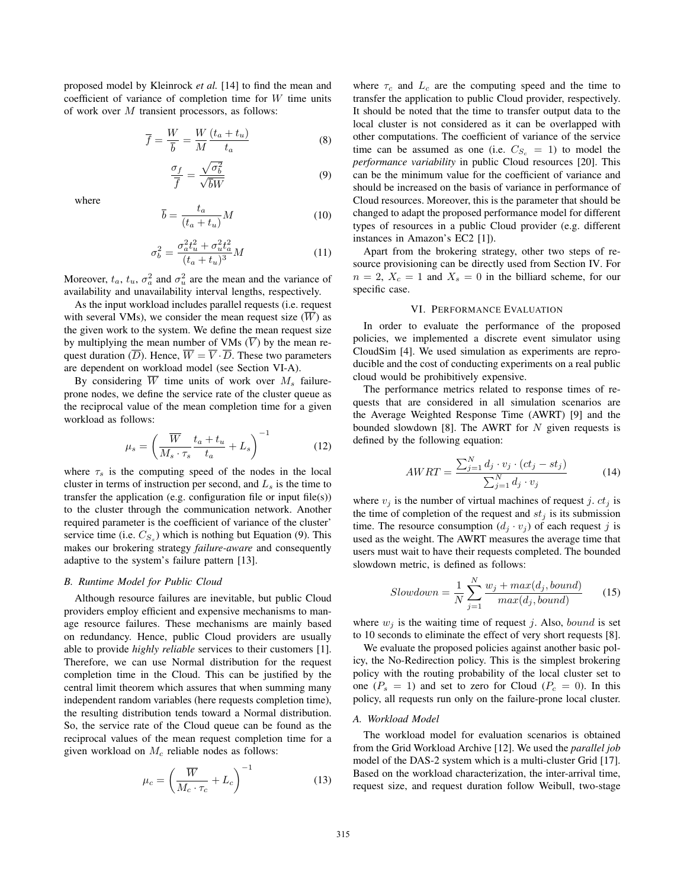proposed model by Kleinrock *et al.* [14] to find the mean and coefficient of variance of completion time for  $W$  time units of work over  $M$  transient processors, as follows:

$$
\overline{f} = \frac{W}{\overline{b}} = \frac{W}{M} \frac{(t_a + t_u)}{t_a}
$$
 (8)

$$
\frac{\sigma_f}{\bar{f}} = \frac{\sqrt{\sigma_b^2}}{\sqrt{\bar{b}W}}\tag{9}
$$

where

$$
\bar{b} = \frac{t_a}{(t_a + t_u)}M\tag{10}
$$

$$
\sigma_b^2 = \frac{\sigma_a^2 t_u^2 + \sigma_u^2 t_a^2}{(t_a + t_u)^3} M \tag{11}
$$

Moreover,  $t_a$ ,  $t_u$ ,  $\sigma_a^2$  and  $\sigma_u^2$  are the mean and the variance of availability and unavailability interval lengths, respectively.

As the input workload includes parallel requests (i.e. request with several VMs), we consider the mean request size  $(\overline{W})$  as the given work to the system. We define the mean request size by multiplying the mean number of VMs  $(\overline{V})$  by the mean request duration  $(\overline{D})$ . Hence,  $\overline{W} = \overline{V} \cdot \overline{D}$ . These two parameters are dependent on workload model (see Section VI-A).

By considering  $\overline{W}$  time units of work over  $M_s$  failureprone nodes, we define the service rate of the cluster queue as the reciprocal value of the mean completion time for a given workload as follows:

$$
\mu_s = \left(\frac{\overline{W}}{M_s \cdot \tau_s} \frac{t_a + t_u}{t_a} + L_s\right)^{-1} \tag{12}
$$

where  $\tau_s$  is the computing speed of the nodes in the local cluster in terms of instruction per second, and  $L<sub>s</sub>$  is the time to transfer the application (e.g. configuration file or input file $(s)$ ) to the cluster through the communication network. Another required parameter is the coefficient of variance of the cluster' service time (i.e.  $C_{S_s}$ ) which is nothing but Equation (9). This makes our brokering strategy *failure-aware* and consequently adaptive to the system's failure pattern [13].

#### *B. Runtime Model for Public Cloud*

Although resource failures are inevitable, but public Cloud providers employ efficient and expensive mechanisms to manage resource failures. These mechanisms are mainly based on redundancy. Hence, public Cloud providers are usually able to provide *highly reliable* services to their customers [1]. Therefore, we can use Normal distribution for the request completion time in the Cloud. This can be justified by the central limit theorem which assures that when summing many independent random variables (here requests completion time), the resulting distribution tends toward a Normal distribution. So, the service rate of the Cloud queue can be found as the reciprocal values of the mean request completion time for a given workload on  $M_c$  reliable nodes as follows:

$$
\mu_c = \left(\frac{\overline{W}}{M_c \cdot \tau_c} + L_c\right)^{-1} \tag{13}
$$

where  $\tau_c$  and  $L_c$  are the computing speed and the time to transfer the application to public Cloud provider, respectively. It should be noted that the time to transfer output data to the local cluster is not considered as it can be overlapped with other computations. The coefficient of variance of the service time can be assumed as one (i.e.  $C_{S_c} = 1$ ) to model the *performance variability* in public Cloud resources [20]. This can be the minimum value for the coefficient of variance and should be increased on the basis of variance in performance of Cloud resources. Moreover, this is the parameter that should be changed to adapt the proposed performance model for different types of resources in a public Cloud provider (e.g. different instances in Amazon's EC2 [1]).

Apart from the brokering strategy, other two steps of resource provisioning can be directly used from Section IV. For  $n = 2$ ,  $X_c = 1$  and  $X_s = 0$  in the billiard scheme, for our specific case.

## VI. PERFORMANCE EVALUATION

In order to evaluate the performance of the proposed policies, we implemented a discrete event simulator using CloudSim [4]. We used simulation as experiments are reproducible and the cost of conducting experiments on a real public cloud would be prohibitively expensive.

The performance metrics related to response times of requests that are considered in all simulation scenarios are the Average Weighted Response Time (AWRT) [9] and the bounded slowdown [8]. The AWRT for  $N$  given requests is defined by the following equation:

$$
AWRT = \frac{\sum_{j=1}^{N} d_j \cdot v_j \cdot (ct_j - st_j)}{\sum_{j=1}^{N} d_j \cdot v_j} \tag{14}
$$

where  $v_j$  is the number of virtual machines of request j.  $ct_j$  is the time of completion of the request and  $st_i$  is its submission time. The resource consumption  $(d_i \cdot v_i)$  of each request j is used as the weight. The AWRT measures the average time that users must wait to have their requests completed. The bounded slowdown metric, is defined as follows:

$$
Slowdown = \frac{1}{N} \sum_{j=1}^{N} \frac{w_j + max(d_j, bound)}{max(d_j, bound)}
$$
(15)

where  $w_j$  is the waiting time of request j. Also, bound is set to 10 seconds to eliminate the effect of very short requests [8].

We evaluate the proposed policies against another basic policy, the No-Redirection policy. This is the simplest brokering policy with the routing probability of the local cluster set to one  $(P_s = 1)$  and set to zero for Cloud  $(P_c = 0)$ . In this policy, all requests run only on the failure-prone local cluster.

#### *A. Workload Model*

The workload model for evaluation scenarios is obtained from the Grid Workload Archive [12]. We used the *parallel job* model of the DAS-2 system which is a multi-cluster Grid [17]. Based on the workload characterization, the inter-arrival time, request size, and request duration follow Weibull, two-stage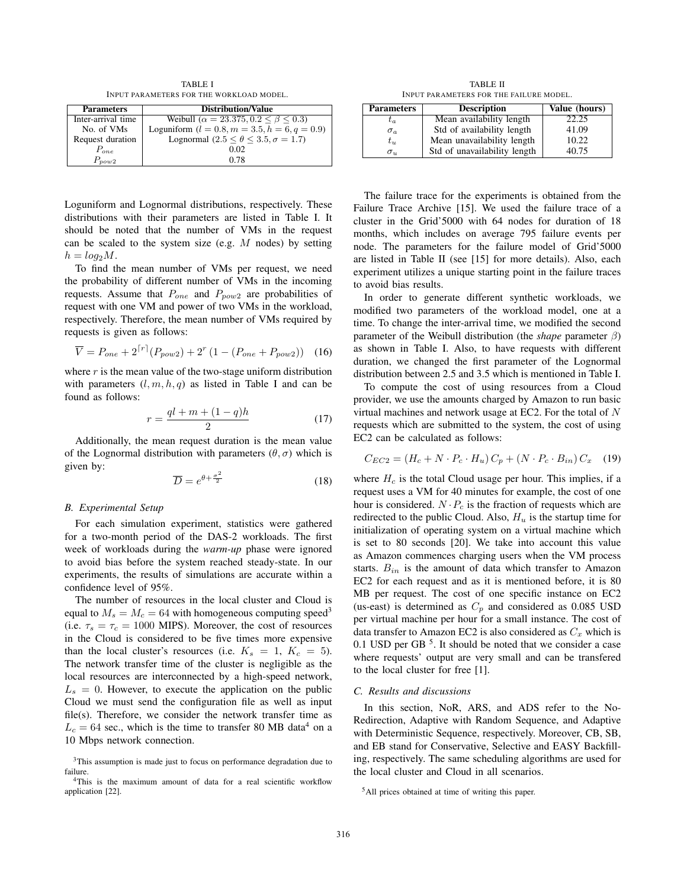TABLE I INPUT PARAMETERS FOR THE WORKLOAD MODEL.

| <b>Parameters</b>  | <b>Distribution/Value</b>                            |
|--------------------|------------------------------------------------------|
| Inter-arrival time | Weibull ( $\alpha = 23.375, 0.2 \le \beta \le 0.3$ ) |
| No. of VMs         | Loguniform $(l = 0.8, m = 3.5, h = 6, q = 0.9)$      |
| Request duration   | Lognormal $(2.5 \leq \theta \leq 3.5, \sigma = 1.7)$ |
| $P_{one}$          | 0.02                                                 |
| $P_{pow2}$         | 0.78                                                 |

Loguniform and Lognormal distributions, respectively. These distributions with their parameters are listed in Table I. It should be noted that the number of VMs in the request can be scaled to the system size (e.g.  $M$  nodes) by setting  $h = log_2 M$ .

To find the mean number of VMs per request, we need the probability of different number of VMs in the incoming requests. Assume that  $P_{one}$  and  $P_{pow2}$  are probabilities of request with one VM and power of two VMs in the workload, respectively. Therefore, the mean number of VMs required by requests is given as follows:

$$
\overline{V} = P_{one} + 2^{\lceil r \rceil} (P_{pow2}) + 2^r (1 - (P_{one} + P_{pow2})) \quad (16)
$$

where  $r$  is the mean value of the two-stage uniform distribution with parameters  $(l, m, h, q)$  as listed in Table I and can be found as follows:

$$
r = \frac{ql + m + (1 - q)h}{2}
$$
 (17)

Additionally, the mean request duration is the mean value of the Lognormal distribution with parameters  $(\theta, \sigma)$  which is given by:

$$
\overline{D} = e^{\theta + \frac{\sigma^2}{2}} \tag{18}
$$

#### *B. Experimental Setup*

For each simulation experiment, statistics were gathered for a two-month period of the DAS-2 workloads. The first week of workloads during the *warm-up* phase were ignored to avoid bias before the system reached steady-state. In our experiments, the results of simulations are accurate within a confidence level of 95%.

The number of resources in the local cluster and Cloud is equal to  $M_s = M_c = 64$  with homogeneous computing speed<sup>3</sup> (i.e.  $\tau_s = \tau_c = 1000$  MIPS). Moreover, the cost of resources in the Cloud is considered to be five times more expensive than the local cluster's resources (i.e.  $K_s = 1, K_c = 5$ ). The network transfer time of the cluster is negligible as the local resources are interconnected by a high-speed network,  $L<sub>s</sub> = 0$ . However, to execute the application on the public Cloud we must send the configuration file as well as input file(s). Therefore, we consider the network transfer time as  $L_c = 64$  sec., which is the time to transfer 80 MB data<sup>4</sup> on a 10 Mbps network connection.

TABLE II INPUT PARAMETERS FOR THE FAILURE MODEL.

| <b>Parameters</b> | <b>Description</b>           | Value (hours) |  |  |  |
|-------------------|------------------------------|---------------|--|--|--|
| $t_a$             | Mean availability length     | 22.25         |  |  |  |
| $\sigma_a$        | Std of availability length   | 41.09         |  |  |  |
| $t_u$             | Mean unavailability length   | 10.22         |  |  |  |
| $\sigma_{\rm u}$  | Std of unavailability length | 40.75         |  |  |  |

The failure trace for the experiments is obtained from the Failure Trace Archive [15]. We used the failure trace of a cluster in the Grid'5000 with 64 nodes for duration of 18 months, which includes on average 795 failure events per node. The parameters for the failure model of Grid'5000 are listed in Table II (see [15] for more details). Also, each experiment utilizes a unique starting point in the failure traces to avoid bias results.

In order to generate different synthetic workloads, we modified two parameters of the workload model, one at a time. To change the inter-arrival time, we modified the second parameter of the Weibull distribution (the *shape* parameter β) as shown in Table I. Also, to have requests with different duration, we changed the first parameter of the Lognormal distribution between 2.5 and 3.5 which is mentioned in Table I.

To compute the cost of using resources from a Cloud provider, we use the amounts charged by Amazon to run basic virtual machines and network usage at EC2. For the total of N requests which are submitted to the system, the cost of using EC2 can be calculated as follows:

$$
C_{EC2} = (H_c + N \cdot P_c \cdot H_u) C_p + (N \cdot P_c \cdot B_{in}) C_x \quad (19)
$$

where  $H_c$  is the total Cloud usage per hour. This implies, if a request uses a VM for 40 minutes for example, the cost of one hour is considered.  $N \cdot P_c$  is the fraction of requests which are redirected to the public Cloud. Also,  $H_u$  is the startup time for initialization of operating system on a virtual machine which is set to 80 seconds [20]. We take into account this value as Amazon commences charging users when the VM process starts.  $B_{in}$  is the amount of data which transfer to Amazon EC2 for each request and as it is mentioned before, it is 80 MB per request. The cost of one specific instance on EC2 (us-east) is determined as  $C_p$  and considered as 0.085 USD per virtual machine per hour for a small instance. The cost of data transfer to Amazon EC2 is also considered as  $C_x$  which is 0.1 USD per GB  $<sup>5</sup>$ . It should be noted that we consider a case</sup> where requests' output are very small and can be transfered to the local cluster for free [1].

# *C. Results and discussions*

In this section, NoR, ARS, and ADS refer to the No-Redirection, Adaptive with Random Sequence, and Adaptive with Deterministic Sequence, respectively. Moreover, CB, SB, and EB stand for Conservative, Selective and EASY Backfilling, respectively. The same scheduling algorithms are used for the local cluster and Cloud in all scenarios.

<sup>3</sup>This assumption is made just to focus on performance degradation due to failure.

<sup>4</sup>This is the maximum amount of data for a real scientific workflow application [22].

<sup>5</sup>All prices obtained at time of writing this paper.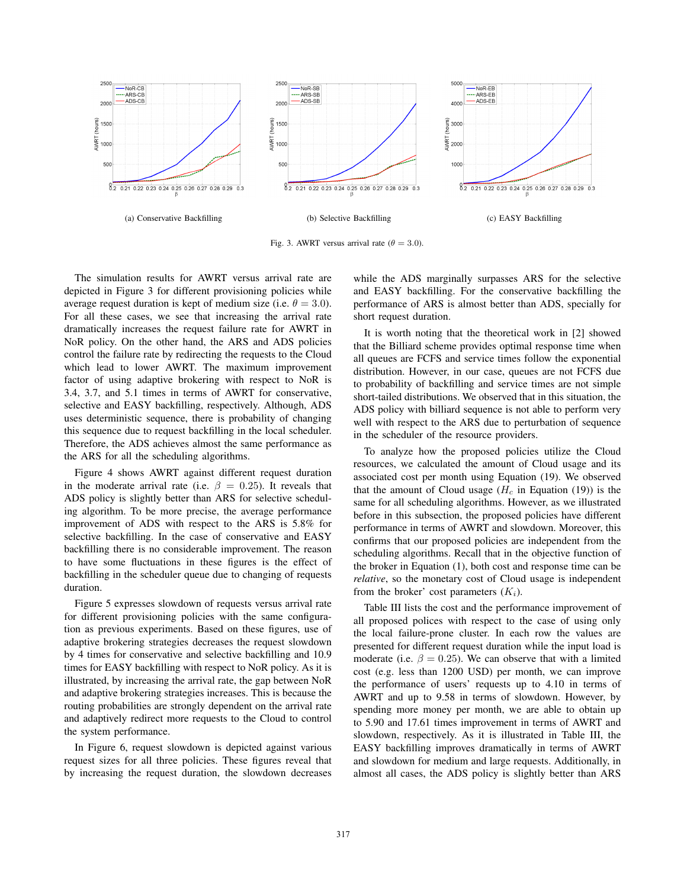

Fig. 3. AWRT versus arrival rate ( $\theta = 3.0$ ).

The simulation results for AWRT versus arrival rate are depicted in Figure 3 for different provisioning policies while average request duration is kept of medium size (i.e.  $\theta = 3.0$ ). For all these cases, we see that increasing the arrival rate dramatically increases the request failure rate for AWRT in NoR policy. On the other hand, the ARS and ADS policies control the failure rate by redirecting the requests to the Cloud which lead to lower AWRT. The maximum improvement factor of using adaptive brokering with respect to NoR is 3.4, 3.7, and 5.1 times in terms of AWRT for conservative, selective and EASY backfilling, respectively. Although, ADS uses deterministic sequence, there is probability of changing this sequence due to request backfilling in the local scheduler. Therefore, the ADS achieves almost the same performance as the ARS for all the scheduling algorithms.

Figure 4 shows AWRT against different request duration in the moderate arrival rate (i.e.  $\beta = 0.25$ ). It reveals that ADS policy is slightly better than ARS for selective scheduling algorithm. To be more precise, the average performance improvement of ADS with respect to the ARS is 5.8% for selective backfilling. In the case of conservative and EASY backfilling there is no considerable improvement. The reason to have some fluctuations in these figures is the effect of backfilling in the scheduler queue due to changing of requests duration.

Figure 5 expresses slowdown of requests versus arrival rate for different provisioning policies with the same configuration as previous experiments. Based on these figures, use of adaptive brokering strategies decreases the request slowdown by 4 times for conservative and selective backfilling and 10.9 times for EASY backfilling with respect to NoR policy. As it is illustrated, by increasing the arrival rate, the gap between NoR and adaptive brokering strategies increases. This is because the routing probabilities are strongly dependent on the arrival rate and adaptively redirect more requests to the Cloud to control the system performance.

In Figure 6, request slowdown is depicted against various request sizes for all three policies. These figures reveal that by increasing the request duration, the slowdown decreases while the ADS marginally surpasses ARS for the selective and EASY backfilling. For the conservative backfilling the performance of ARS is almost better than ADS, specially for short request duration.

It is worth noting that the theoretical work in [2] showed that the Billiard scheme provides optimal response time when all queues are FCFS and service times follow the exponential distribution. However, in our case, queues are not FCFS due to probability of backfilling and service times are not simple short-tailed distributions. We observed that in this situation, the ADS policy with billiard sequence is not able to perform very well with respect to the ARS due to perturbation of sequence in the scheduler of the resource providers.

To analyze how the proposed policies utilize the Cloud resources, we calculated the amount of Cloud usage and its associated cost per month using Equation (19). We observed that the amount of Cloud usage  $(H_c$  in Equation (19)) is the same for all scheduling algorithms. However, as we illustrated before in this subsection, the proposed policies have different performance in terms of AWRT and slowdown. Moreover, this confirms that our proposed policies are independent from the scheduling algorithms. Recall that in the objective function of the broker in Equation (1), both cost and response time can be *relative*, so the monetary cost of Cloud usage is independent from the broker' cost parameters  $(K_i)$ .

Table III lists the cost and the performance improvement of all proposed polices with respect to the case of using only the local failure-prone cluster. In each row the values are presented for different request duration while the input load is moderate (i.e.  $\beta = 0.25$ ). We can observe that with a limited cost (e.g. less than 1200 USD) per month, we can improve the performance of users' requests up to 4.10 in terms of AWRT and up to 9.58 in terms of slowdown. However, by spending more money per month, we are able to obtain up to 5.90 and 17.61 times improvement in terms of AWRT and slowdown, respectively. As it is illustrated in Table III, the EASY backfilling improves dramatically in terms of AWRT and slowdown for medium and large requests. Additionally, in almost all cases, the ADS policy is slightly better than ARS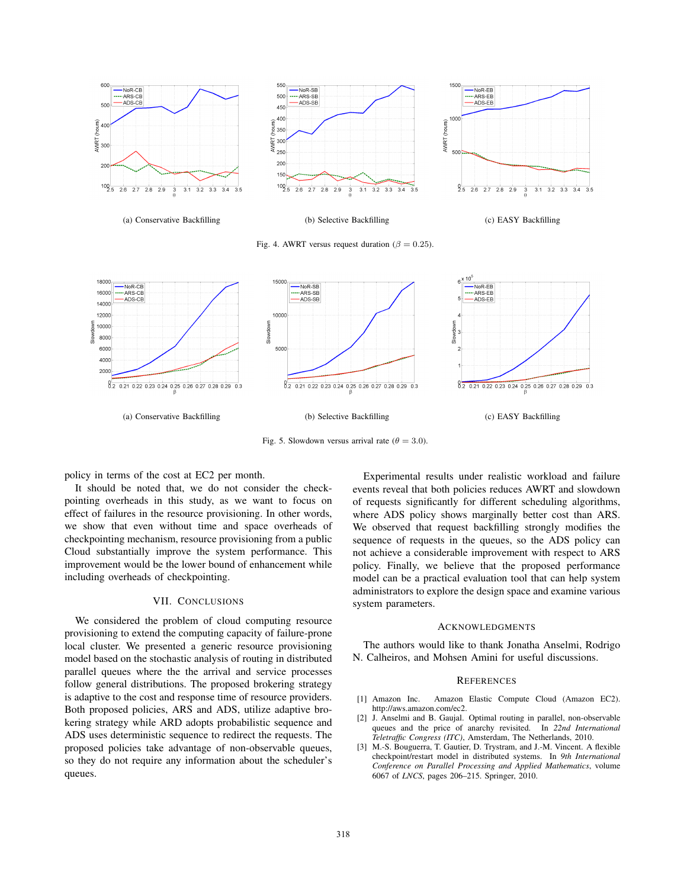



Fig. 5. Slowdown versus arrival rate ( $\theta = 3.0$ ).

policy in terms of the cost at EC2 per month.

It should be noted that, we do not consider the checkpointing overheads in this study, as we want to focus on effect of failures in the resource provisioning. In other words, we show that even without time and space overheads of checkpointing mechanism, resource provisioning from a public Cloud substantially improve the system performance. This improvement would be the lower bound of enhancement while including overheads of checkpointing.

### VII. CONCLUSIONS

We considered the problem of cloud computing resource provisioning to extend the computing capacity of failure-prone local cluster. We presented a generic resource provisioning model based on the stochastic analysis of routing in distributed parallel queues where the the arrival and service processes follow general distributions. The proposed brokering strategy is adaptive to the cost and response time of resource providers. Both proposed policies, ARS and ADS, utilize adaptive brokering strategy while ARD adopts probabilistic sequence and ADS uses deterministic sequence to redirect the requests. The proposed policies take advantage of non-observable queues, so they do not require any information about the scheduler's queues.

Experimental results under realistic workload and failure events reveal that both policies reduces AWRT and slowdown of requests significantly for different scheduling algorithms, where ADS policy shows marginally better cost than ARS. We observed that request backfilling strongly modifies the sequence of requests in the queues, so the ADS policy can not achieve a considerable improvement with respect to ARS policy. Finally, we believe that the proposed performance model can be a practical evaluation tool that can help system administrators to explore the design space and examine various system parameters.

#### **ACKNOWLEDGMENTS**

The authors would like to thank Jonatha Anselmi, Rodrigo N. Calheiros, and Mohsen Amini for useful discussions.

#### **REFERENCES**

- [1] Amazon Inc. Amazon Elastic Compute Cloud (Amazon EC2). http://aws.amazon.com/ec2.
- [2] J. Anselmi and B. Gaujal. Optimal routing in parallel, non-observable queues and the price of anarchy revisited. In *22nd International Teletraffic Congress (ITC)*, Amsterdam, The Netherlands, 2010.
- [3] M.-S. Bouguerra, T. Gautier, D. Trystram, and J.-M. Vincent. A flexible checkpoint/restart model in distributed systems. In *9th International Conference on Parallel Processing and Applied Mathematics*, volume 6067 of *LNCS*, pages 206–215. Springer, 2010.